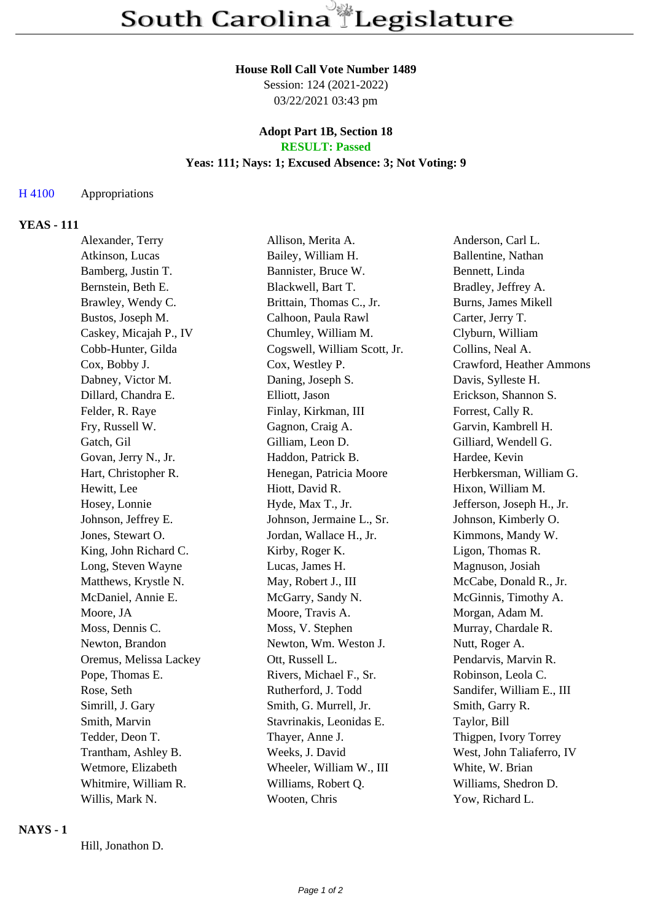## **House Roll Call Vote Number 1489**

Session: 124 (2021-2022) 03/22/2021 03:43 pm

#### **Adopt Part 1B, Section 18 RESULT: Passed**

# **Yeas: 111; Nays: 1; Excused Absence: 3; Not Voting: 9**

#### H 4100 Appropriations

## **YEAS - 111**

| Alexander, Terry       | Allison, Merita A.           | Anderson, Carl L.          |
|------------------------|------------------------------|----------------------------|
| Atkinson, Lucas        | Bailey, William H.           | Ballentine, Nathan         |
| Bamberg, Justin T.     | Bannister, Bruce W.          | Bennett, Linda             |
| Bernstein, Beth E.     | Blackwell, Bart T.           | Bradley, Jeffrey A.        |
| Brawley, Wendy C.      | Brittain, Thomas C., Jr.     | <b>Burns, James Mikell</b> |
| Bustos, Joseph M.      | Calhoon, Paula Rawl          | Carter, Jerry T.           |
| Caskey, Micajah P., IV | Chumley, William M.          | Clyburn, William           |
| Cobb-Hunter, Gilda     | Cogswell, William Scott, Jr. | Collins, Neal A.           |
| Cox, Bobby J.          | Cox, Westley P.              | Crawford, Heather Ammons   |
| Dabney, Victor M.      | Daning, Joseph S.            | Davis, Sylleste H.         |
| Dillard, Chandra E.    | Elliott, Jason               | Erickson, Shannon S.       |
| Felder, R. Raye        | Finlay, Kirkman, III         | Forrest, Cally R.          |
| Fry, Russell W.        | Gagnon, Craig A.             | Garvin, Kambrell H.        |
| Gatch, Gil             | Gilliam, Leon D.             | Gilliard, Wendell G.       |
| Govan, Jerry N., Jr.   | Haddon, Patrick B.           | Hardee, Kevin              |
| Hart, Christopher R.   | Henegan, Patricia Moore      | Herbkersman, William G.    |
| Hewitt, Lee            | Hiott, David R.              | Hixon, William M.          |
| Hosey, Lonnie          | Hyde, Max T., Jr.            | Jefferson, Joseph H., Jr.  |
| Johnson, Jeffrey E.    | Johnson, Jermaine L., Sr.    | Johnson, Kimberly O.       |
| Jones, Stewart O.      | Jordan, Wallace H., Jr.      | Kimmons, Mandy W.          |
| King, John Richard C.  | Kirby, Roger K.              | Ligon, Thomas R.           |
| Long, Steven Wayne     | Lucas, James H.              | Magnuson, Josiah           |
| Matthews, Krystle N.   | May, Robert J., III          | McCabe, Donald R., Jr.     |
| McDaniel, Annie E.     | McGarry, Sandy N.            | McGinnis, Timothy A.       |
| Moore, JA              | Moore, Travis A.             | Morgan, Adam M.            |
| Moss, Dennis C.        | Moss, V. Stephen             | Murray, Chardale R.        |
| Newton, Brandon        | Newton, Wm. Weston J.        | Nutt, Roger A.             |
| Oremus, Melissa Lackey | Ott, Russell L.              | Pendarvis, Marvin R.       |
| Pope, Thomas E.        | Rivers, Michael F., Sr.      | Robinson, Leola C.         |
| Rose, Seth             | Rutherford, J. Todd          | Sandifer, William E., III  |
| Simrill, J. Gary       | Smith, G. Murrell, Jr.       | Smith, Garry R.            |
| Smith, Marvin          | Stavrinakis, Leonidas E.     | Taylor, Bill               |
| Tedder, Deon T.        | Thayer, Anne J.              | Thigpen, Ivory Torrey      |
| Trantham, Ashley B.    | Weeks, J. David              | West, John Taliaferro, IV  |
| Wetmore, Elizabeth     | Wheeler, William W., III     | White, W. Brian            |
| Whitmire, William R.   | Williams, Robert Q.          | Williams, Shedron D.       |
| Willis, Mark N.        | Wooten, Chris                | Yow, Richard L.            |
|                        |                              |                            |

#### **NAYS - 1**

Hill, Jonathon D.